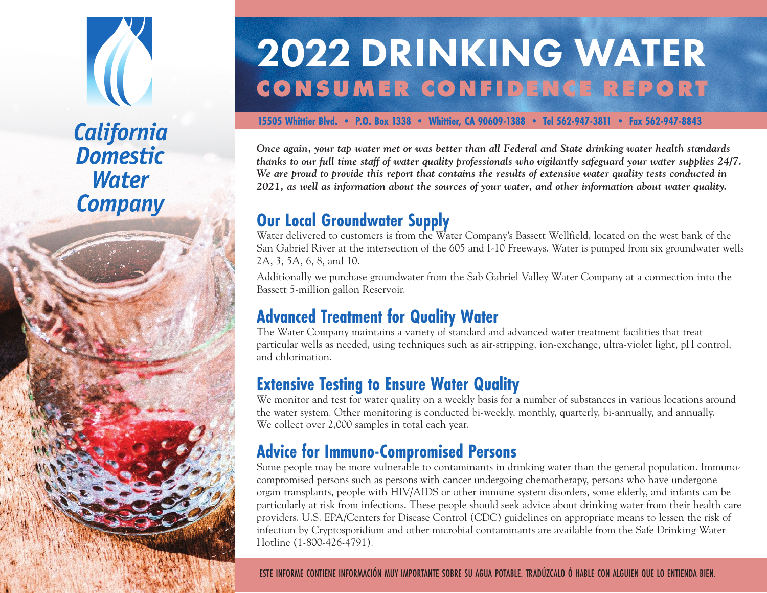## **California Domestic Water Company**

# 2022 DRINKING WATER **CONSUMER CONFIDENCE REPORT**

#### **15505 Whittier Blvd. • P.O. Box 1338 • Whittier, CA 90609-1388 • Tel 562-947-3811 • Fax 562-947-8843**

*Once again, your tap water met or was better than all Federal and State drinking water health standards thanks to our full time staff of water quality professionals who vigilantly safeguard your water supplies 24/7. We are proud to provide this report that contains the results of extensive water quality tests conducted in 2021, as well as information about the sources of your water, and other information about water quality.*

### **Our Local Groundwater Supply**

Water delivered to customers is from the Water Company's Bassett Wellfield, located on the west bank of the San Gabriel River at the intersection of the 605 and I-10 Freeways. Water is pumped from six groundwater wells 2A, 3, 5A, 6, 8, and 10.

Additionally we purchase groundwater from the Sab Gabriel Valley Water Company at a connection into the Bassett 5-million gallon Reservoir.

## **Advanced Treatment for Quality Water**

The Water Company maintains a variety of standard and advanced water treatment facilities that treat particular wells as needed, using techniques such as air-stripping, ion-exchange, ultra-violet light, pH control, and chlorination.

#### **Extensive Testing to Ensure Water Quality**

We monitor and test for water quality on a weekly basis for a number of substances in various locations around the water system. Other monitoring is conducted bi-weekly, monthly, quarterly, bi-annually, and annually. We collect over 2,000 samples in total each year.

## **Advice for Immuno-Compromised Persons**

Some people may be more vulnerable to contaminants in drinking water than the general population. Immunocompromised persons such as persons with cancer undergoing chemotherapy, persons who have undergone organ transplants, people with HIV/AIDS or other immune system disorders, some elderly, and infants can be particularly at risk from infections. These people should seek advice about drinking water from their health care providers. U.S. EPA/Centers for Disease Control (CDC) guidelines on appropriate means to lessen the risk of infection by Cryptosporidium and other microbial contaminants are available from the Safe Drinking Water Hotline (1-800-426-4791).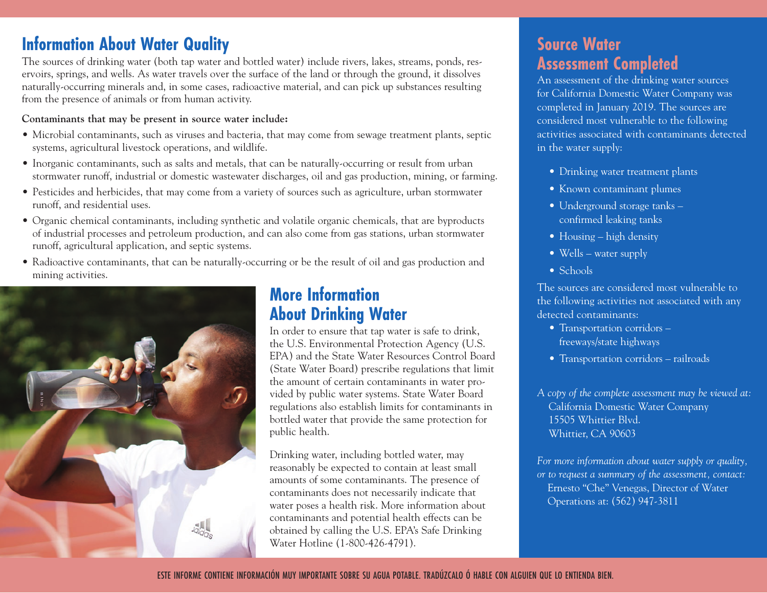#### **Information About Water Quality**

The sources of drinking water (both tap water and bottled water) include rivers, lakes, streams, ponds, reservoirs, springs, and wells. As water travels over the surface of the land or through the ground, it dissolves naturally-occurring minerals and, in some cases, radioactive material, and can pick up substances resulting from the presence of animals or from human activity.

#### **Contaminants that may be present in source water include:**

- Microbial contaminants, such as viruses and bacteria, that may come from sewage treatment plants, septic systems, agricultural livestock operations, and wildlife.
- Inorganic contaminants, such as salts and metals, that can be naturally-occurring or result from urban stormwater runoff, industrial or domestic wastewater discharges, oil and gas production, mining, or farming.
- Pesticides and herbicides, that may come from a variety of sources such as agriculture, urban stormwater runoff, and residential uses.
- Organic chemical contaminants, including synthetic and volatile organic chemicals, that are byproducts of industrial processes and petroleum production, and can also come from gas stations, urban stormwater runoff, agricultural application, and septic systems.
- Radioactive contaminants, that can be naturally-occurring or be the result of oil and gas production and mining activities.



#### **More Information About Drinking Water**

In order to ensure that tap water is safe to drink, the U.S. Environmental Protection Agency (U.S. EPA) and the State Water Resources Control Board (State Water Board) prescribe regulations that limit the amount of certain contaminants in water provided by public water systems. State Water Board regulations also establish limits for contaminants in bottled water that provide the same protection for public health.

Drinking water, including bottled water, may reasonably be expected to contain at least small amounts of some contaminants. The presence of contaminants does not necessarily indicate that water poses a health risk. More information about contaminants and potential health effects can be obtained by calling the U.S. EPA's Safe Drinking Water Hotline (1-800-426-4791).

#### **Source Water Assessment Completed**

An assessment of the drinking water sources for California Domestic Water Company was completed in January 2019. The sources are considered most vulnerable to the following activities associated with contaminants detected in the water supply:

- Drinking water treatment plants
- Known contaminant plumes
- Underground storage tanks confirmed leaking tanks
- Housing high density
- Wells water supply
- Schools

The sources are considered most vulnerable to the following activities not associated with any detected contaminants:

- Transportation corridors freeways/state highways
- Transportation corridors railroads

*A copy of the complete assessment may be viewed at:* California Domestic Water Company 15505 Whittier Blvd. Whittier, CA 90603

*For more information about water supply or quality, or to request a summary of the assessment, contact:* Ernesto "Che" Venegas, Director of Water Operations at: (562) 947-3811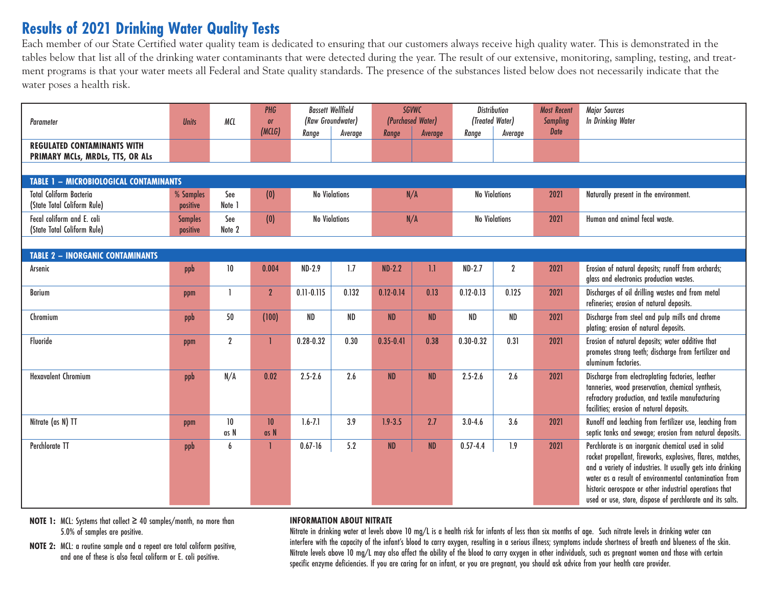#### **Results of 2021 Drinking Water Quality Tests**

Each member of our State Certified water quality team is dedicated to ensuring that our customers always receive high quality water. This is demonstrated in the tables below that list all of the drinking water contaminants that were detected during the year. The result of our extensive, monitoring, sampling, testing, and treatment programs is that your water meets all Federal and State quality standards. The presence of the substances listed below does not necessarily indicate that the water poses a health risk.

| Parameter                                                                                                                                                                 | <b>Units</b>               | MCL              | PHG<br>or      | <b>Bassett Wellfield</b>    | (Raw Groundwater) | (Purchased Water)    | <b>SGVWC</b> | <b>Distribution</b><br>(Treated Water) |                               | <b>Most Recent</b><br><b>Sampling</b> | <b>Major Sources</b><br><b>In Drinking Water</b>                                                                                                                                                                                                                                                                                                               |
|---------------------------------------------------------------------------------------------------------------------------------------------------------------------------|----------------------------|------------------|----------------|-----------------------------|-------------------|----------------------|--------------|----------------------------------------|-------------------------------|---------------------------------------|----------------------------------------------------------------------------------------------------------------------------------------------------------------------------------------------------------------------------------------------------------------------------------------------------------------------------------------------------------------|
|                                                                                                                                                                           |                            |                  | (MCLG)         | Range                       | Average           | Range                | Average      | Range                                  | Average                       | <b>Date</b>                           |                                                                                                                                                                                                                                                                                                                                                                |
| <b>REGULATED CONTAMINANTS WITH</b><br>PRIMARY MCLs, MRDLs, TTS, OR ALs                                                                                                    |                            |                  |                |                             |                   |                      |              |                                        |                               |                                       |                                                                                                                                                                                                                                                                                                                                                                |
|                                                                                                                                                                           |                            |                  |                |                             |                   |                      |              |                                        |                               |                                       |                                                                                                                                                                                                                                                                                                                                                                |
| <b>TABLE 1 - MICROBIOLOGICAL CONTAMINANTS</b><br><b>Total Coliform Bacteria</b><br><b>No Violations</b><br><b>No Violations</b><br>% Samples<br>See<br>(0)<br>N/A<br>2021 |                            |                  |                |                             |                   |                      |              |                                        |                               | Naturally present in the environment. |                                                                                                                                                                                                                                                                                                                                                                |
| (State Total Coliform Rule)                                                                                                                                               | positive                   | Note 1           |                |                             |                   |                      |              |                                        |                               |                                       |                                                                                                                                                                                                                                                                                                                                                                |
| Fecal coliform and E. coli<br>(State Total Coliform Rule)                                                                                                                 | <b>Samples</b><br>positive | See<br>Note 2    | (0)            | <b>No Violations</b><br>N/A |                   | <b>No Violations</b> |              | 2021                                   | Human and animal fecal waste. |                                       |                                                                                                                                                                                                                                                                                                                                                                |
|                                                                                                                                                                           |                            |                  |                |                             |                   |                      |              |                                        |                               |                                       |                                                                                                                                                                                                                                                                                                                                                                |
| <b>TABLE 2 - INORGANIC CONTAMINANTS</b>                                                                                                                                   |                            |                  |                |                             |                   |                      |              |                                        |                               |                                       |                                                                                                                                                                                                                                                                                                                                                                |
| Arsenic                                                                                                                                                                   | ppb                        | 10 <sup>°</sup>  | 0.004          | $ND-2.9$                    | 1.7               | $ND-2.2$             | 1.1          | $ND-2.7$                               | $\overline{2}$                | 2021                                  | Erosion of natural deposits; runoff from orchards;<br>glass and electronics production wastes.                                                                                                                                                                                                                                                                 |
| <b>Barium</b>                                                                                                                                                             | ppm                        |                  | $\overline{2}$ | $0.11 - 0.115$              | 0.132             | $0.12 - 0.14$        | 0.13         | $0.12 - 0.13$                          | 0.125                         | 2021                                  | Discharges of oil drilling wastes and from metal<br>refineries; erosion of natural deposits.                                                                                                                                                                                                                                                                   |
| Chromium                                                                                                                                                                  | ppb                        | 50               | (100)          | <b>ND</b>                   | <b>ND</b>         | <b>ND</b>            | <b>ND</b>    | ND                                     | <b>ND</b>                     | 2021                                  | Discharge from steel and pulp mills and chrome<br>plating; erosion of natural deposits.                                                                                                                                                                                                                                                                        |
| Fluoride                                                                                                                                                                  | ppm                        | $\boldsymbol{2}$ | 1              | $0.28 - 0.32$               | 0.30              | $0.35 - 0.41$        | 0.38         | $0.30 - 0.32$                          | 0.31                          | 2021                                  | Erosion of natural deposits; water additive that<br>promotes strong teeth; discharge from fertilizer and<br>aluminum factories.                                                                                                                                                                                                                                |
| <b>Hexavalent Chromium</b>                                                                                                                                                | ppb                        | N/A              | 0.02           | $2.5 - 2.6$                 | 2.6               | <b>ND</b>            | ND           | $2.5 - 2.6$                            | 2.6                           | 2021                                  | Discharge from electroplating factories, leather<br>tanneries, wood preservation, chemical synthesis,<br>refractory production, and textile manufacturing<br>facilities; erosion of natural deposits.                                                                                                                                                          |
| Nitrate (as N) TT                                                                                                                                                         | ppm                        | 10<br>as N       | 10<br>as N     | $1.6 - 7.1$                 | 3.9               | $1.9 - 3.5$          | 2.7          | $3.0 - 4.6$                            | 3.6                           | 2021                                  | Runoff and leaching from fertilizer use, leaching from<br>septic tanks and sewage; erosion from natural deposits.                                                                                                                                                                                                                                              |
| <b>Perchlorate TT</b>                                                                                                                                                     | ppb                        | $\mathbf{6}$     | 1              | $0.67 - 16$                 | 5.2               | ND                   | ND           | $0.57 - 4.4$                           | 1.9                           | 2021                                  | Perchlorate is an inorganic chemical used in solid<br>rocket propellant, fireworks, explosives, flares, matches,<br>and a variety of industries. It usually gets into drinking<br>water as a result of environmental contamination from<br>historic aerospace or other industrial operations that<br>used or use, store, dispose of perchlorate and its salts. |

**NOTE 1:** MCL: Systems that collect ≥ 40 samples/month, no more than 5.0% of samples are positive.

**NOTE 2:** MCL: a routine sample and a repeat are total coliform positive, and one of these is also fecal coliform or E. coli positive.

#### **INFORMATION ABOUT NITRATE**

Nitrate in drinking water at levels above 10 mg/L is a health risk for infants of less than six months of age. Such nitrate levels in drinking water can interfere with the capacity of the infant's blood to carry oxygen, resulting in a serious illness; symptoms include shortness of breath and blueness of the skin. Nitrate levels above 10 mg/L may also affect the ability of the blood to carry oxygen in other individuals, such as pregnant women and those with certain specific enzyme deficiencies. If you are caring for an infant, or you are pregnant, you should ask advice from your health care provider.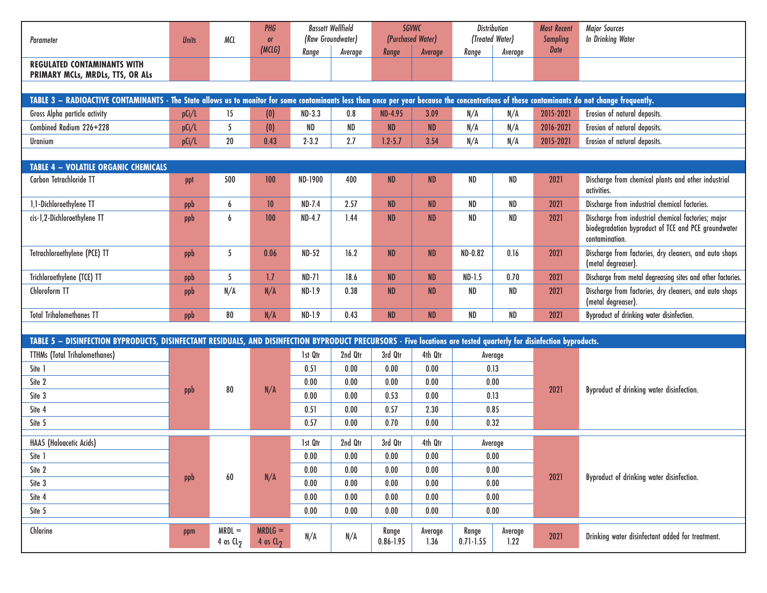| Parameter                                                                                                                                                           | <b>Units</b>                                                                                                                                                                                 | MCL                              |                                    |              | PHG<br>or | <b>Bassett Wellfield</b><br>(Raw Groundwater) |                 | <b>SGVWC</b><br>(Purchased Water) |                 | <b>Distribution</b><br>(Treated Water) |                                                                                                                              | <b>Most Recent</b><br><b>Sampling</b> | <b>Major Sources</b><br><b>In Drinking Water</b> |
|---------------------------------------------------------------------------------------------------------------------------------------------------------------------|----------------------------------------------------------------------------------------------------------------------------------------------------------------------------------------------|----------------------------------|------------------------------------|--------------|-----------|-----------------------------------------------|-----------------|-----------------------------------|-----------------|----------------------------------------|------------------------------------------------------------------------------------------------------------------------------|---------------------------------------|--------------------------------------------------|
|                                                                                                                                                                     |                                                                                                                                                                                              |                                  | (MC L G)                           | Range        | Average   | Range                                         | Average         | Range                             | Average         | Date                                   |                                                                                                                              |                                       |                                                  |
| <b>REGULATED CONTAMINANTS WITH</b><br>PRIMARY MCLs, MRDLs, TTS, OR ALs                                                                                              |                                                                                                                                                                                              |                                  |                                    |              |           |                                               |                 |                                   |                 |                                        |                                                                                                                              |                                       |                                                  |
|                                                                                                                                                                     |                                                                                                                                                                                              |                                  |                                    |              |           |                                               |                 |                                   |                 |                                        |                                                                                                                              |                                       |                                                  |
|                                                                                                                                                                     | TABLE 3 - RADIOACTIVE CONTAMINANTS - The State allows us to monitor for some contaminants less than once per year because the concentrations of these contaminants do not change frequently. |                                  |                                    |              |           |                                               |                 |                                   |                 |                                        |                                                                                                                              |                                       |                                                  |
| Gross Alpha particle activity                                                                                                                                       | p(i/l)                                                                                                                                                                                       | 15                               | (0)                                | $ND-3.3$     | 0.8       | <b>ND-4.95</b>                                | 3.09            | N/A                               | N/A             | 2015-2021                              | Erosion of natural deposits.                                                                                                 |                                       |                                                  |
| Combined Radium 226+228                                                                                                                                             | p(i/l)                                                                                                                                                                                       | 5                                | (0)                                | <b>ND</b>    | $\sf ND$  | <b>ND</b>                                     | ND              | N/A                               | N/A             | 2016-2021                              | Erosion of natural deposits.                                                                                                 |                                       |                                                  |
| Uranium                                                                                                                                                             | p(i/L)                                                                                                                                                                                       | 20                               | 0.43                               | $2 - 3.2$    | 2.7       | $1.2 - 5.7$                                   | 3.54            | N/A                               | N/A             | 2015-2021                              | Erosion of natural deposits.                                                                                                 |                                       |                                                  |
|                                                                                                                                                                     |                                                                                                                                                                                              |                                  |                                    |              |           |                                               |                 |                                   |                 |                                        |                                                                                                                              |                                       |                                                  |
| <b>TABLE 4 - VOLATILE ORGANIC CHEMICALS</b>                                                                                                                         |                                                                                                                                                                                              |                                  |                                    |              |           |                                               |                 |                                   |                 |                                        |                                                                                                                              |                                       |                                                  |
| Carbon Tetrachloride TT                                                                                                                                             | ppt                                                                                                                                                                                          | 500                              | 100                                | ND-1900      | 400       | ND                                            | <b>ND</b>       | ND                                | ND              | 2021                                   | Discharge from chemical plants and other industrial<br>activities.                                                           |                                       |                                                  |
| 1,1-Dichloroethylene TT                                                                                                                                             | ppb                                                                                                                                                                                          | 6                                | 10                                 | $ND-7.4$     | 2.57      | <b>ND</b>                                     | <b>ND</b>       | ND                                | <b>ND</b>       | 2021                                   | Discharge from industrial chemical factories.                                                                                |                                       |                                                  |
| cis-1,2-Dichloroethylene TT                                                                                                                                         | ppb                                                                                                                                                                                          | 6                                | 100                                | $ND-4.7$     | 1.44      | <b>ND</b>                                     | <b>ND</b>       | ND                                | <b>ND</b>       | 2021                                   | Discharge from industrial chemical factories; major<br>biodegradation byproduct of TCE and PCE groundwater<br>contamination. |                                       |                                                  |
| Tetrachloroethylene (PCE) TT                                                                                                                                        | ppb                                                                                                                                                                                          | 5                                | 0.06                               | <b>ND-52</b> | 16.2      | ND                                            | <b>ND</b>       | ND-0.82                           | 0.16            | 2021                                   | Discharge from factories, dry cleaners, and auto shops<br>(metal degreaser).                                                 |                                       |                                                  |
| Trichloroethylene (TCE) TT                                                                                                                                          | ppb                                                                                                                                                                                          | 5                                | 1.7                                | $ND-71$      | 18.6      | ND                                            | ND              | $ND-1.5$                          | 0.70            | 2021                                   | Discharge from metal degreasing sites and other factories.                                                                   |                                       |                                                  |
| Chloroform TT                                                                                                                                                       | ppb                                                                                                                                                                                          | N/A                              | N/A                                | ND-1.9       | 0.38      | <b>ND</b>                                     | <b>ND</b>       | ND                                | <b>ND</b>       | 2021                                   | Discharge from factories, dry cleaners, and auto shops<br>(metal degreaser).                                                 |                                       |                                                  |
| <b>Total Trihalomethanes TT</b>                                                                                                                                     | ppb                                                                                                                                                                                          | $80\,$                           | N/A                                | ND-1.9       | 0.43      | ND                                            | <b>ND</b>       | ND                                | ND              | 2021                                   | Byproduct of drinking water disinfection.                                                                                    |                                       |                                                  |
|                                                                                                                                                                     |                                                                                                                                                                                              |                                  |                                    |              |           |                                               |                 |                                   |                 |                                        |                                                                                                                              |                                       |                                                  |
| TABLE 5 - DISINFECTION BYPRODUCTS, DISINFECTANT RESIDUALS, AND DISINFECTION BYPRODUCT PRECURSORS - Five locations are tested quarterly for disinfection byproducts. |                                                                                                                                                                                              |                                  |                                    |              |           |                                               |                 |                                   |                 |                                        |                                                                                                                              |                                       |                                                  |
| <b>TTHMs (Total Trihalomethanes)</b>                                                                                                                                |                                                                                                                                                                                              | 80                               | N/A                                | 1st Qtr      | 2nd Qtr   | 3rd Qtr                                       | 4th Qtr         | Average                           |                 | 2021                                   | Byproduct of drinking water disinfection.                                                                                    |                                       |                                                  |
| Site 1                                                                                                                                                              |                                                                                                                                                                                              |                                  |                                    | 0.51         | 0.00      | 0.00                                          | 0.00            | 0.13                              |                 |                                        |                                                                                                                              |                                       |                                                  |
| Site 2                                                                                                                                                              | ppb                                                                                                                                                                                          |                                  |                                    | 0.00         | 0.00      | 0.00                                          | 0.00            | 0.00                              |                 |                                        |                                                                                                                              |                                       |                                                  |
| Site 3                                                                                                                                                              |                                                                                                                                                                                              |                                  |                                    | 0.00         | 0.00      | 0.53                                          | 0.00            | 0.13                              |                 |                                        |                                                                                                                              |                                       |                                                  |
| Site 4                                                                                                                                                              |                                                                                                                                                                                              |                                  |                                    | 0.51         | 0.00      | 0.57                                          | 2.30            | 0.85                              |                 |                                        |                                                                                                                              |                                       |                                                  |
| Site 5                                                                                                                                                              |                                                                                                                                                                                              |                                  |                                    | 0.57         | 0.00      | 0.70                                          | 0.00            | 0.32                              |                 |                                        |                                                                                                                              |                                       |                                                  |
| HAA5 (Haloacetic Acids)                                                                                                                                             |                                                                                                                                                                                              | $\pmb{60}$                       | N/A                                | 1st Qtr      | 2nd Qtr   | 3rd Qtr                                       | 4th Qtr         | Average                           |                 |                                        |                                                                                                                              |                                       |                                                  |
| Site 1                                                                                                                                                              | ppb                                                                                                                                                                                          |                                  |                                    | $0.00\,$     | $0.00\,$  | 0.00                                          | 0.00            | 0.00                              |                 |                                        |                                                                                                                              |                                       |                                                  |
| Site 2                                                                                                                                                              |                                                                                                                                                                                              |                                  |                                    | 0.00         | 0.00      | 0.00                                          | 0.00            | 0.00                              |                 |                                        | Byproduct of drinking water disinfection.                                                                                    |                                       |                                                  |
| Site 3                                                                                                                                                              |                                                                                                                                                                                              |                                  |                                    | 0.00         | 0.00      | $0.00\,$                                      | $0.00\,$        | 0.00                              | 2021            |                                        |                                                                                                                              |                                       |                                                  |
| Site 4                                                                                                                                                              |                                                                                                                                                                                              |                                  |                                    | 0.00         | 0.00      | 0.00                                          | 0.00            | 0.00                              |                 |                                        |                                                                                                                              |                                       |                                                  |
| Site 5                                                                                                                                                              |                                                                                                                                                                                              |                                  |                                    | 0.00         | 0.00      | 0.00                                          | 0.00            | 0.00                              |                 |                                        |                                                                                                                              |                                       |                                                  |
| Chlorine                                                                                                                                                            | ppm                                                                                                                                                                                          | $MRDL =$<br>4 as $\mathsf{CL}_2$ | $MRDLG =$<br>4 as $\mathfrak{c}_2$ | N/A          | N/A       | Range<br>$0.86 - 1.95$                        | Average<br>1.36 | Range<br>$0.71 - 1.55$            | Average<br>1.22 | 2021                                   | Drinking water disinfectant added for treatment.                                                                             |                                       |                                                  |